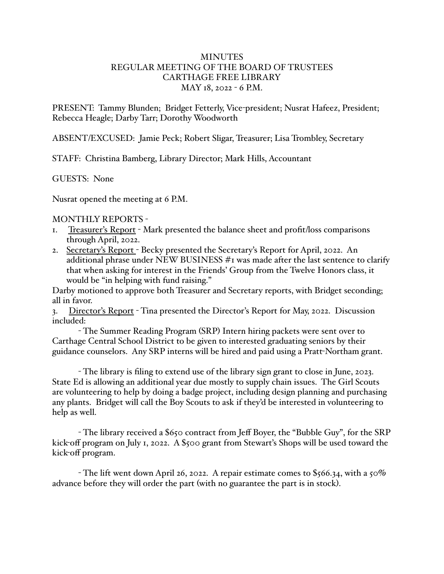## MINUTES REGULAR MEETING OF THE BOARD OF TRUSTEES CARTHAGE FREE LIBRARY MAY 18, 2022 - 6 P.M.

PRESENT: Tammy Blunden; Bridget Fetterly, Vice-president; Nusrat Hafeez, President; Rebecca Heagle; Darby Tarr; Dorothy Woodworth

ABSENT/EXCUSED: Jamie Peck; Robert Sligar, Treasurer; Lisa Trombley, Secretary

STAFF: Christina Bamberg, Library Director; Mark Hills, Accountant

GUESTS: None

Nusrat opened the meeting at 6 P.M.

## MONTHLY REPORTS -

- 1. Treasurer's Report Mark presented the balance sheet and profit/loss comparisons through April, 2022.
- 2. Secretary's Report Becky presented the Secretary's Report for April, 2022. An additional phrase under NEW BUSINESS #1 was made after the last sentence to clarify that when asking for interest in the Friends' Group from the Twelve Honors class, it would be "in helping with fund raising."

Darby motioned to approve both Treasurer and Secretary reports, with Bridget seconding; all in favor.

3. Director's Report - Tina presented the Director's Report for May, 2022. Discussion included:

- The Summer Reading Program (SRP) Intern hiring packets were sent over to Carthage Central School District to be given to interested graduating seniors by their guidance counselors. Any SRP interns will be hired and paid using a Pratt-Northam grant.

- The library is filing to extend use of the library sign grant to close in June, 2023. State Ed is allowing an additional year due mostly to supply chain issues. The Girl Scouts are volunteering to help by doing a badge project, including design planning and purchasing any plants. Bridget will call the Boy Scouts to ask if they'd be interested in volunteering to help as well.

- The library received a \$650 contract from Jeff Boyer, the "Bubble Guy", for the SRP kick-off program on July 1, 2022. A \$500 grant from Stewart's Shops will be used toward the kick-off program.

- The lift went down April 26, 2022. A repair estimate comes to \$566.34, with a 50% advance before they will order the part (with no guarantee the part is in stock).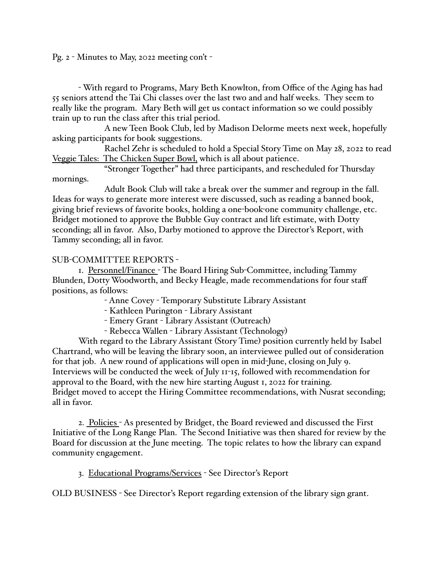Pg. 2 - Minutes to May, 2022 meeting con't -

- With regard to Programs, Mary Beth Knowlton, from Office of the Aging has had 55 seniors attend the Tai Chi classes over the last two and and half weeks. They seem to really like the program. Mary Beth will get us contact information so we could possibly train up to run the class after this trial period.

A new Teen Book Club, led by Madison Delorme meets next week, hopefully asking participants for book suggestions.

Rachel Zehr is scheduled to hold a Special Story Time on May 28, 2022 to read Veggie Tales: The Chicken Super Bowl, which is all about patience.

"Stronger Together" had three participants, and rescheduled for Thursday mornings.

Adult Book Club will take a break over the summer and regroup in the fall. Ideas for ways to generate more interest were discussed, such as reading a banned book, giving brief reviews of favorite books, holding a one-book-one community challenge, etc. Bridget motioned to approve the Bubble Guy contract and lift estimate, with Dotty seconding; all in favor. Also, Darby motioned to approve the Director's Report, with Tammy seconding; all in favor.

## SUB-COMMITTEE REPORTS -

1. Personnel/Finance - The Board Hiring Sub-Committee, including Tammy Blunden, Dotty Woodworth, and Becky Heagle, made recommendations for four staff positions, as follows:

- Anne Covey - Temporary Substitute Library Assistant

- Kathleen Purington - Library Assistant

- Emery Grant - Library Assistant (Outreach)

- Rebecca Wallen - Library Assistant (Technology)

With regard to the Library Assistant (Story Time) position currently held by Isabel Chartrand, who will be leaving the library soon, an interviewee pulled out of consideration for that job. A new round of applications will open in mid-June, closing on July 9. Interviews will be conducted the week of July 11-15, followed with recommendation for approval to the Board, with the new hire starting August 1, 2022 for training. Bridget moved to accept the Hiring Committee recommendations, with Nusrat seconding; all in favor.

2. Policies - As presented by Bridget, the Board reviewed and discussed the First Initiative of the Long Range Plan. The Second Initiative was then shared for review by the Board for discussion at the June meeting. The topic relates to how the library can expand community engagement.

3. Educational Programs/Services - See Director's Report

OLD BUSINESS - See Director's Report regarding extension of the library sign grant.